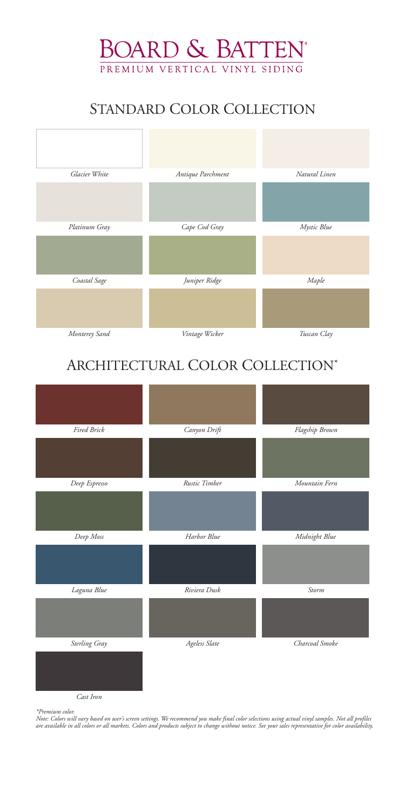| Fired Brick   | Canyon Drift  | Flagship Brown |
|---------------|---------------|----------------|
|               |               |                |
| Deep Espresso | Rustic Timber | Mountain Fern  |
|               |               |                |
| Deep Moss     | Harbor Blue   | Midnight Blue  |
|               |               |                |
| Laguna Blue   | Riviera Dusk  | Storm          |

*Cast Iron*



### ARCHITECTURAL COLOR COLLECTION\*





## STANDARD COLOR COLLECTION

*\*Premium color.*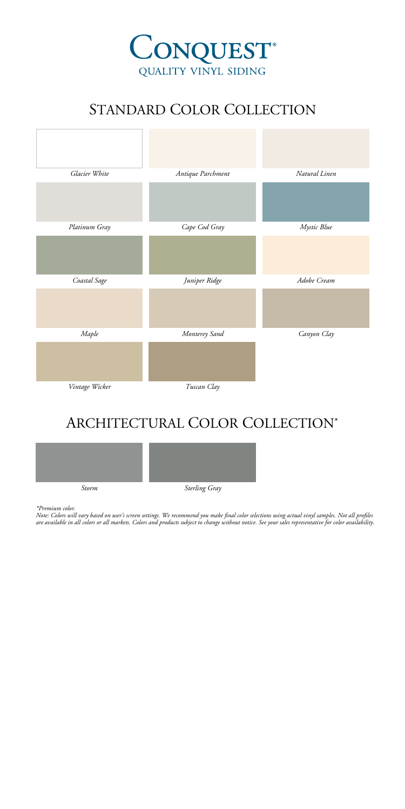

# STANDARD COLOR COLLECTION



#### ARCHITECTURAL COLOR COLLECTION\*



*\*Premium color.*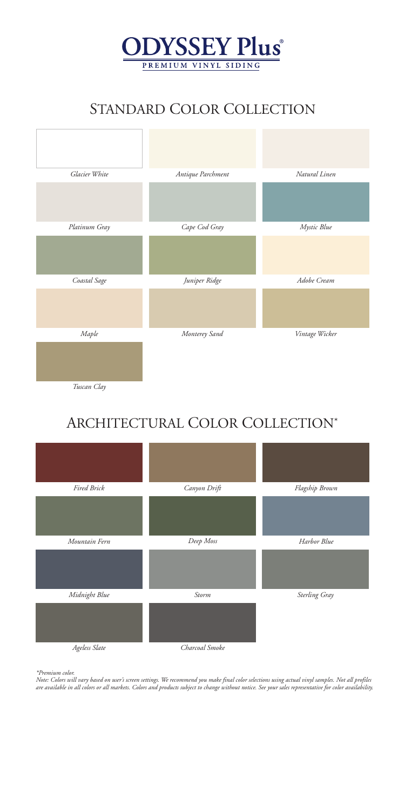

### STANDARD COLOR COLLECTION



*Tuscan Clay*

# ARCHITECTURAL COLOR COLLECTION\*



*\*Premium color.*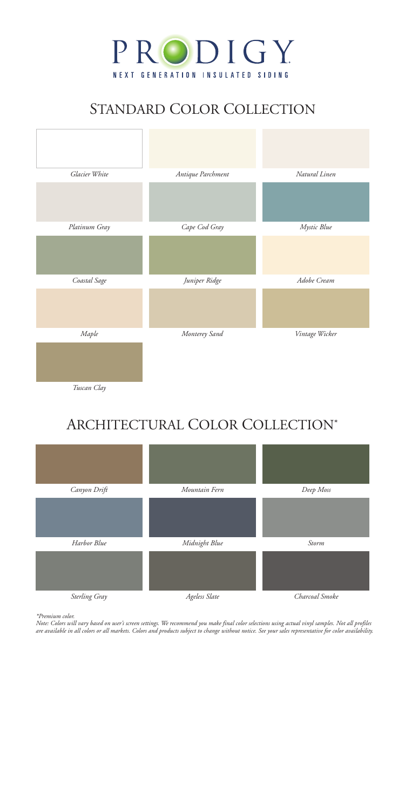

## STANDARD COLOR COLLECTION



### ARCHITECTURAL COLOR COLLECTION\*



*\*Premium color.*